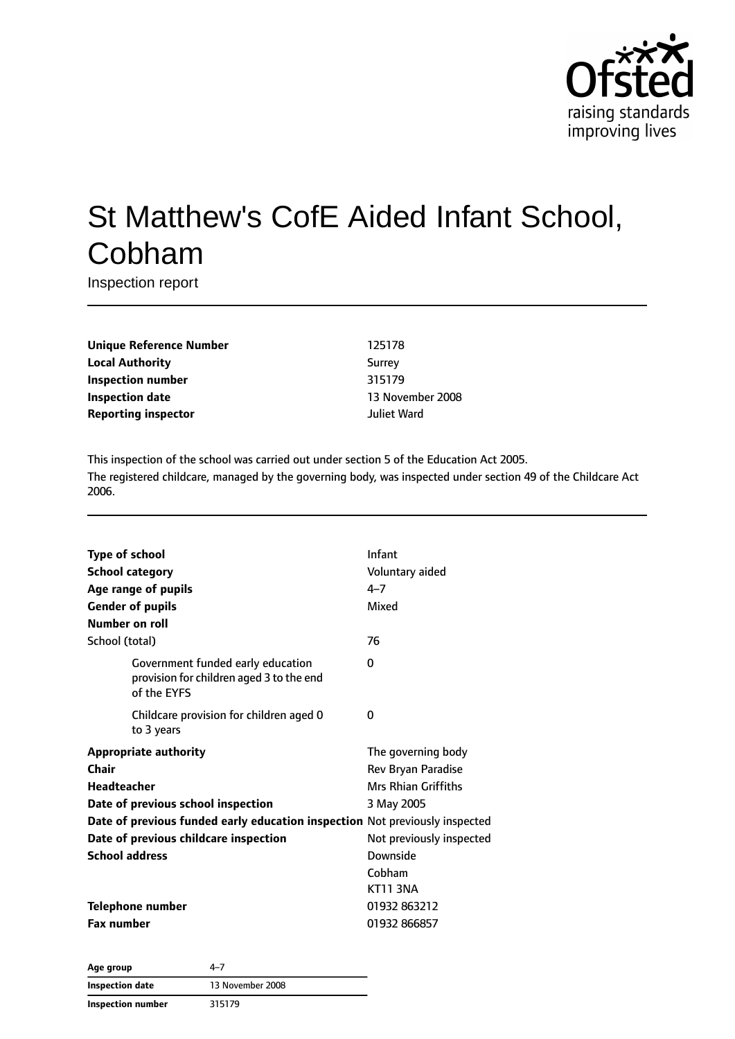

# St Matthew's CofE Aided Infant School, Cobham

Inspection report

**Unique Reference Number** 125178 **Local Authority** Surrey **Inspection number** 315179 **Inspection date** 13 November 2008 **Reporting inspector and a structure of the United Structure Properties A** Juliet Ward

This inspection of the school was carried out under section 5 of the Education Act 2005. The registered childcare, managed by the governing body, was inspected under section 49 of the Childcare Act 2006.

| <b>Type of school</b><br><b>School category</b><br>Age range of pupils<br><b>Gender of pupils</b><br>Number on roll                                                                                                                                | Infant<br>Voluntary aided<br>$4 - 7$<br>Mixed                                                                                                      |
|----------------------------------------------------------------------------------------------------------------------------------------------------------------------------------------------------------------------------------------------------|----------------------------------------------------------------------------------------------------------------------------------------------------|
| School (total)                                                                                                                                                                                                                                     | 76                                                                                                                                                 |
| Government funded early education<br>provision for children aged 3 to the end<br>of the EYFS                                                                                                                                                       | 0                                                                                                                                                  |
| Childcare provision for children aged 0<br>to 3 years                                                                                                                                                                                              | 0                                                                                                                                                  |
| <b>Appropriate authority</b><br>Chair<br><b>Headteacher</b><br>Date of previous school inspection<br>Date of previous funded early education inspection Not previously inspected<br>Date of previous childcare inspection<br><b>School address</b> | The governing body<br>Rev Bryan Paradise<br>Mrs Rhian Griffiths<br>3 May 2005<br>Not previously inspected<br>Downside<br>Cobham<br><b>KT11 3NA</b> |
| <b>Telephone number</b><br><b>Fax number</b>                                                                                                                                                                                                       | 01932 863212<br>01932 866857                                                                                                                       |

**Age group** 4–7 **Inspection date** 13 November 2008 **Inspection number** 315179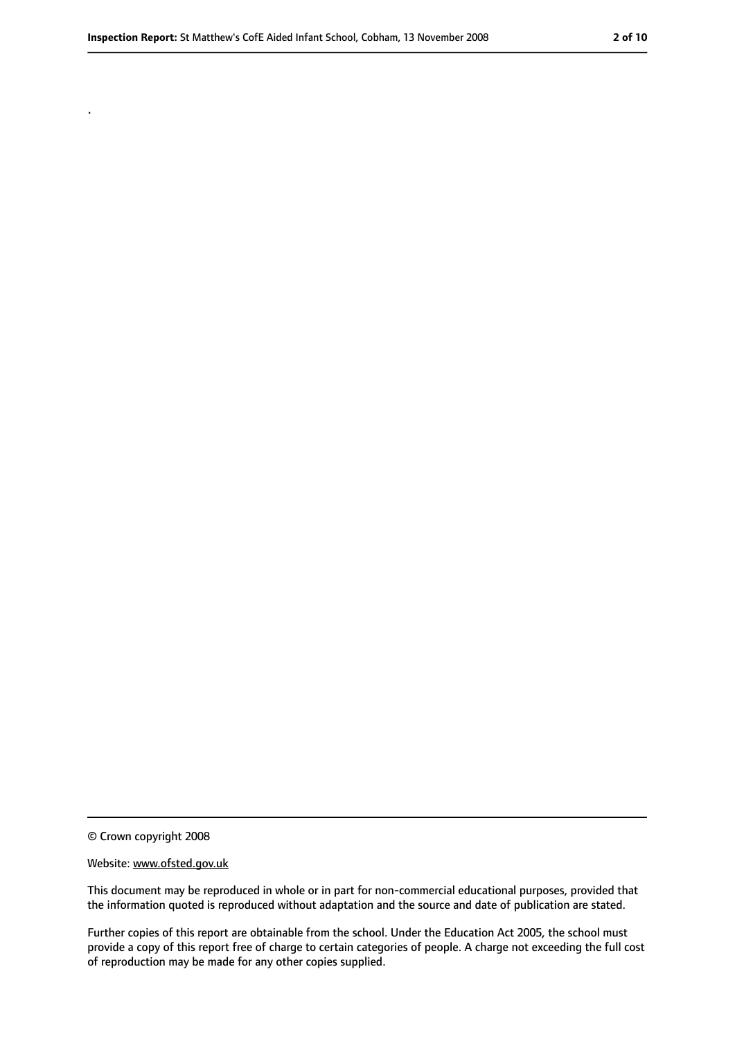.

#### Website: www.ofsted.gov.uk

This document may be reproduced in whole or in part for non-commercial educational purposes, provided that the information quoted is reproduced without adaptation and the source and date of publication are stated.

Further copies of this report are obtainable from the school. Under the Education Act 2005, the school must provide a copy of this report free of charge to certain categories of people. A charge not exceeding the full cost of reproduction may be made for any other copies supplied.

<sup>©</sup> Crown copyright 2008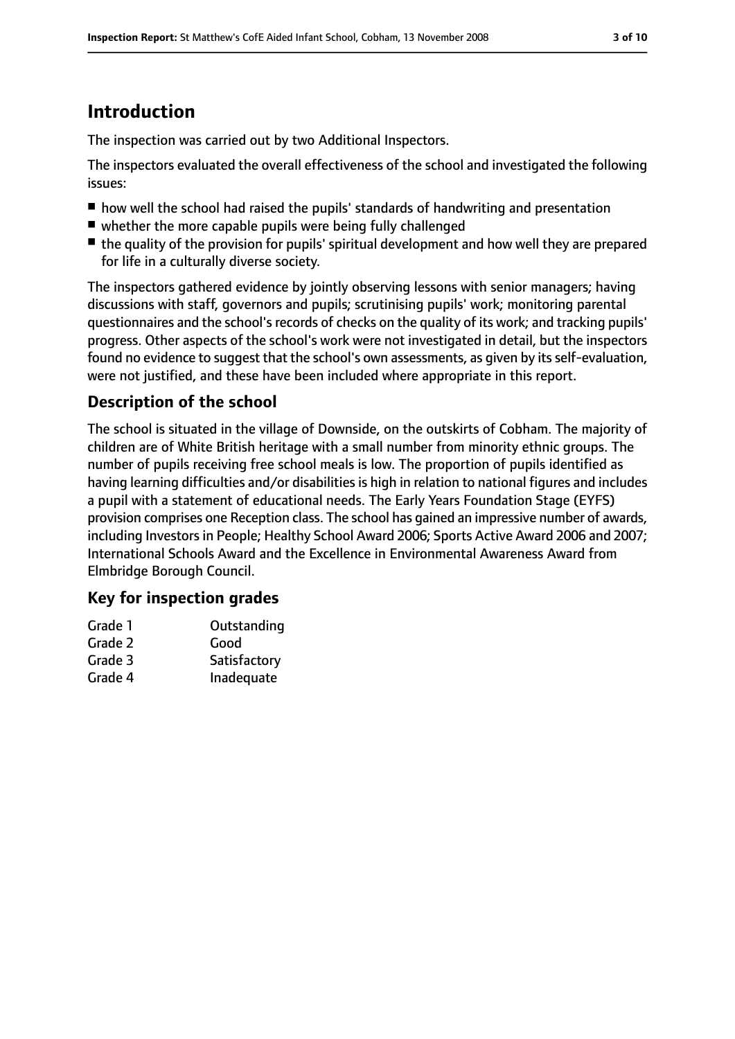# **Introduction**

The inspection was carried out by two Additional Inspectors.

The inspectors evaluated the overall effectiveness of the school and investigated the following issues:

- how well the school had raised the pupils' standards of handwriting and presentation
- whether the more capable pupils were being fully challenged
- the quality of the provision for pupils' spiritual development and how well they are prepared for life in a culturally diverse society.

The inspectors gathered evidence by jointly observing lessons with senior managers; having discussions with staff, governors and pupils; scrutinising pupils' work; monitoring parental questionnaires and the school's records of checks on the quality of its work; and tracking pupils' progress. Other aspects of the school's work were not investigated in detail, but the inspectors found no evidence to suggest that the school's own assessments, as given by its self-evaluation, were not justified, and these have been included where appropriate in this report.

#### **Description of the school**

The school is situated in the village of Downside, on the outskirts of Cobham. The majority of children are of White British heritage with a small number from minority ethnic groups. The number of pupils receiving free school meals is low. The proportion of pupils identified as having learning difficulties and/or disabilities is high in relation to national figures and includes a pupil with a statement of educational needs. The Early Years Foundation Stage (EYFS) provision comprises one Reception class. The school has gained an impressive number of awards, including Investors in People; Healthy School Award 2006; Sports Active Award 2006 and 2007; International Schools Award and the Excellence in Environmental Awareness Award from Elmbridge Borough Council.

#### **Key for inspection grades**

| Grade 1 | Outstanding  |
|---------|--------------|
| Grade 2 | Good         |
| Grade 3 | Satisfactory |
| Grade 4 | Inadequate   |
|         |              |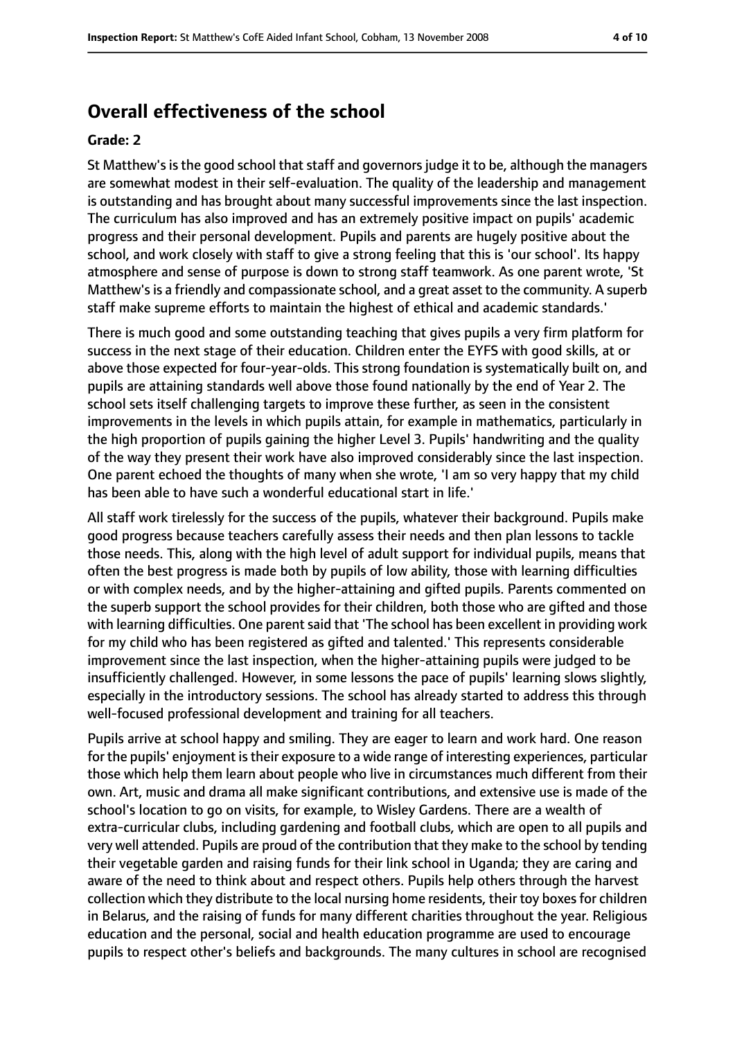#### **Overall effectiveness of the school**

#### **Grade: 2**

St Matthew's is the good school that staff and governors judge it to be, although the managers are somewhat modest in their self-evaluation. The quality of the leadership and management is outstanding and has brought about many successful improvements since the last inspection. The curriculum has also improved and has an extremely positive impact on pupils' academic progress and their personal development. Pupils and parents are hugely positive about the school, and work closely with staff to give a strong feeling that this is 'our school'. Its happy atmosphere and sense of purpose is down to strong staff teamwork. As one parent wrote, 'St Matthew's is a friendly and compassionate school, and a great asset to the community. A superb staff make supreme efforts to maintain the highest of ethical and academic standards.'

There is much good and some outstanding teaching that gives pupils a very firm platform for success in the next stage of their education. Children enter the EYFS with good skills, at or above those expected for four-year-olds. This strong foundation is systematically built on, and pupils are attaining standards well above those found nationally by the end of Year 2. The school sets itself challenging targets to improve these further, as seen in the consistent improvements in the levels in which pupils attain, for example in mathematics, particularly in the high proportion of pupils gaining the higher Level 3. Pupils' handwriting and the quality of the way they present their work have also improved considerably since the last inspection. One parent echoed the thoughts of many when she wrote, 'I am so very happy that my child has been able to have such a wonderful educational start in life.'

All staff work tirelessly for the success of the pupils, whatever their background. Pupils make good progress because teachers carefully assess their needs and then plan lessons to tackle those needs. This, along with the high level of adult support for individual pupils, means that often the best progress is made both by pupils of low ability, those with learning difficulties or with complex needs, and by the higher-attaining and gifted pupils. Parents commented on the superb support the school provides for their children, both those who are gifted and those with learning difficulties. One parent said that 'The school has been excellent in providing work for my child who has been registered as gifted and talented.' This represents considerable improvement since the last inspection, when the higher-attaining pupils were judged to be insufficiently challenged. However, in some lessons the pace of pupils' learning slows slightly, especially in the introductory sessions. The school has already started to address this through well-focused professional development and training for all teachers.

Pupils arrive at school happy and smiling. They are eager to learn and work hard. One reason for the pupils' enjoyment is their exposure to a wide range of interesting experiences, particular those which help them learn about people who live in circumstances much different from their own. Art, music and drama all make significant contributions, and extensive use is made of the school's location to go on visits, for example, to Wisley Gardens. There are a wealth of extra-curricular clubs, including gardening and football clubs, which are open to all pupils and very well attended. Pupils are proud of the contribution that they make to the school by tending their vegetable garden and raising funds for their link school in Uganda; they are caring and aware of the need to think about and respect others. Pupils help others through the harvest collection which they distribute to the local nursing home residents, their toy boxes for children in Belarus, and the raising of funds for many different charities throughout the year. Religious education and the personal, social and health education programme are used to encourage pupils to respect other's beliefs and backgrounds. The many cultures in school are recognised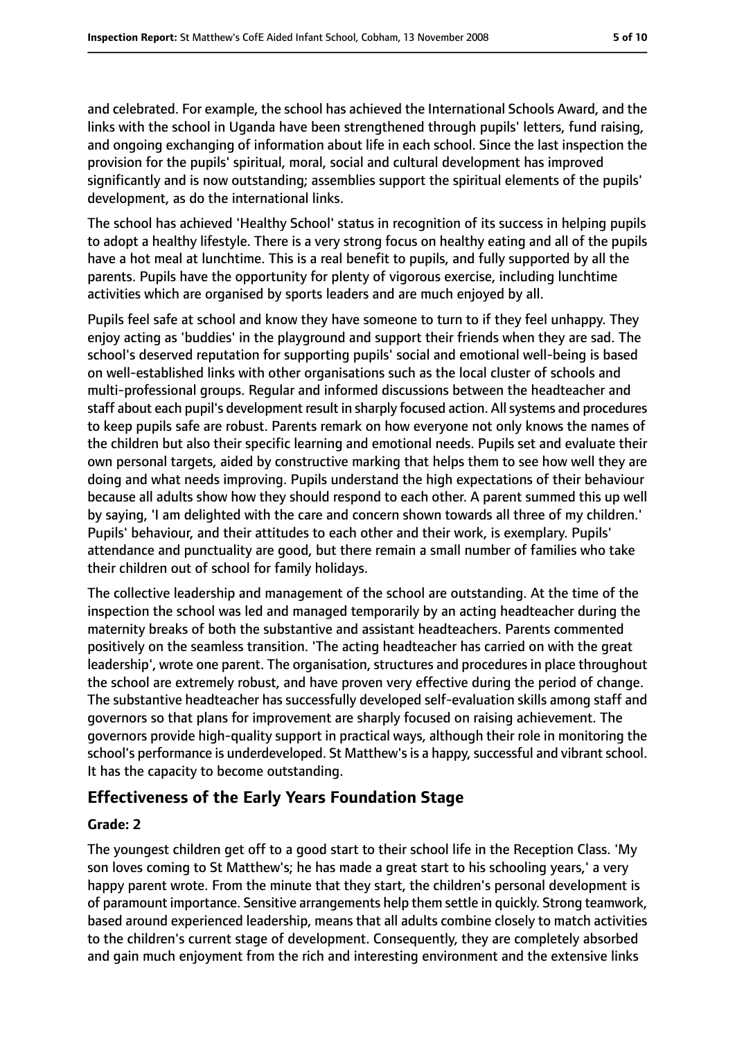and celebrated. For example, the school has achieved the International Schools Award, and the links with the school in Uganda have been strengthened through pupils' letters, fund raising, and ongoing exchanging of information about life in each school. Since the last inspection the provision for the pupils' spiritual, moral, social and cultural development has improved significantly and is now outstanding; assemblies support the spiritual elements of the pupils' development, as do the international links.

The school has achieved 'Healthy School' status in recognition of its success in helping pupils to adopt a healthy lifestyle. There is a very strong focus on healthy eating and all of the pupils have a hot meal at lunchtime. This is a real benefit to pupils, and fully supported by all the parents. Pupils have the opportunity for plenty of vigorous exercise, including lunchtime activities which are organised by sports leaders and are much enjoyed by all.

Pupils feel safe at school and know they have someone to turn to if they feel unhappy. They enjoy acting as 'buddies' in the playground and support their friends when they are sad. The school's deserved reputation for supporting pupils' social and emotional well-being is based on well-established links with other organisations such as the local cluster of schools and multi-professional groups. Regular and informed discussions between the headteacher and staff about each pupil's development result in sharply focused action. Allsystems and procedures to keep pupils safe are robust. Parents remark on how everyone not only knows the names of the children but also their specific learning and emotional needs. Pupils set and evaluate their own personal targets, aided by constructive marking that helps them to see how well they are doing and what needs improving. Pupils understand the high expectations of their behaviour because all adults show how they should respond to each other. A parent summed this up well by saying, 'I am delighted with the care and concern shown towards all three of my children.' Pupils' behaviour, and their attitudes to each other and their work, is exemplary. Pupils' attendance and punctuality are good, but there remain a small number of families who take their children out of school for family holidays.

The collective leadership and management of the school are outstanding. At the time of the inspection the school was led and managed temporarily by an acting headteacher during the maternity breaks of both the substantive and assistant headteachers. Parents commented positively on the seamless transition. 'The acting headteacher has carried on with the great leadership', wrote one parent. The organisation, structures and procedures in place throughout the school are extremely robust, and have proven very effective during the period of change. The substantive headteacher has successfully developed self-evaluation skills among staff and governors so that plans for improvement are sharply focused on raising achievement. The governors provide high-quality support in practical ways, although their role in monitoring the school's performance is underdeveloped. St Matthew's is a happy, successful and vibrant school. It has the capacity to become outstanding.

#### **Effectiveness of the Early Years Foundation Stage**

#### **Grade: 2**

The youngest children get off to a good start to their school life in the Reception Class. 'My son loves coming to St Matthew's; he has made a great start to his schooling years,' a very happy parent wrote. From the minute that they start, the children's personal development is of paramount importance. Sensitive arrangements help them settle in quickly. Strong teamwork, based around experienced leadership, means that all adults combine closely to match activities to the children's current stage of development. Consequently, they are completely absorbed and gain much enjoyment from the rich and interesting environment and the extensive links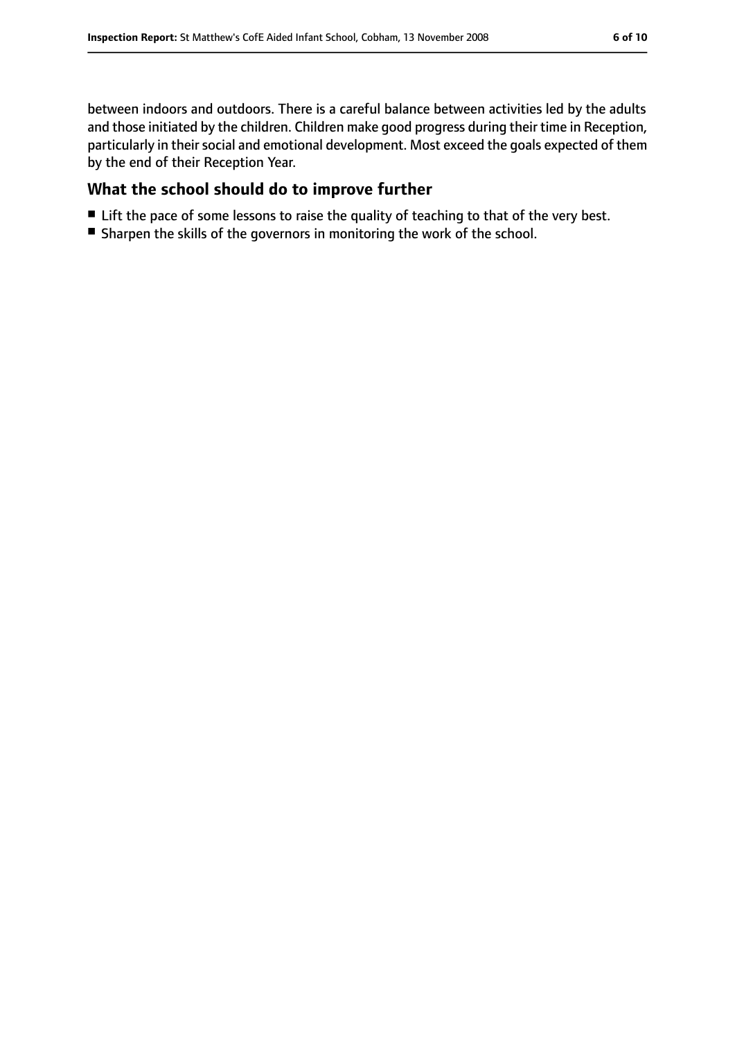between indoors and outdoors. There is a careful balance between activities led by the adults and those initiated by the children. Children make good progress during their time in Reception, particularly in their social and emotional development. Most exceed the goals expected of them by the end of their Reception Year.

## **What the school should do to improve further**

- Lift the pace of some lessons to raise the quality of teaching to that of the very best.
- Sharpen the skills of the governors in monitoring the work of the school.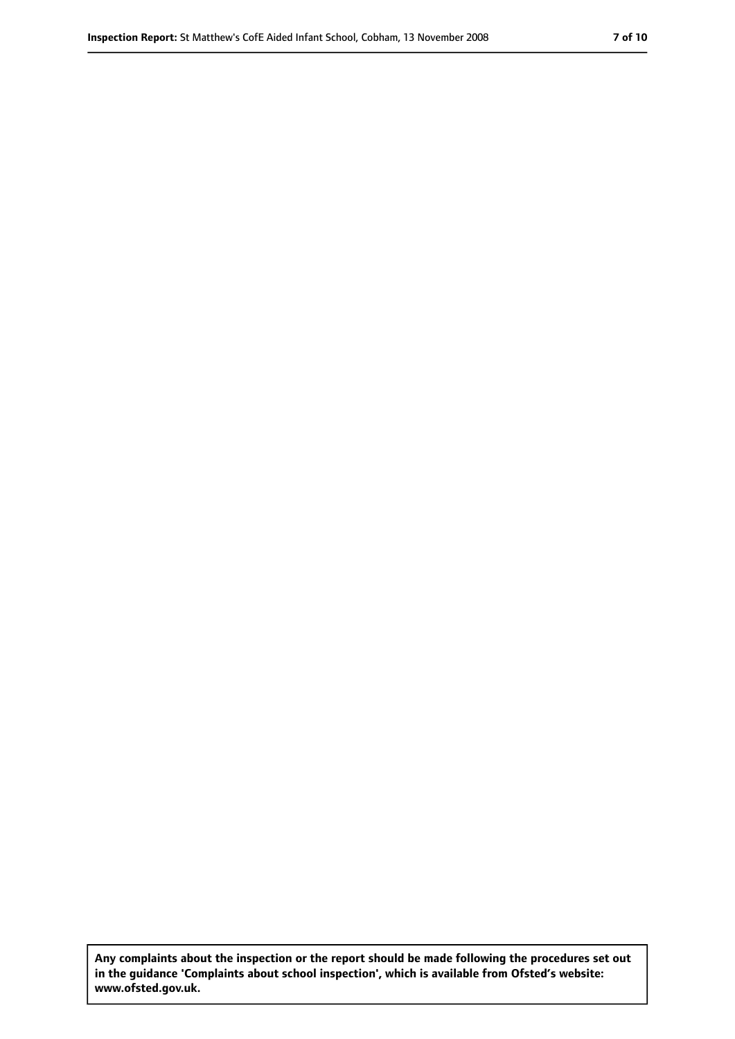**Any complaints about the inspection or the report should be made following the procedures set out in the guidance 'Complaints about school inspection', which is available from Ofsted's website: www.ofsted.gov.uk.**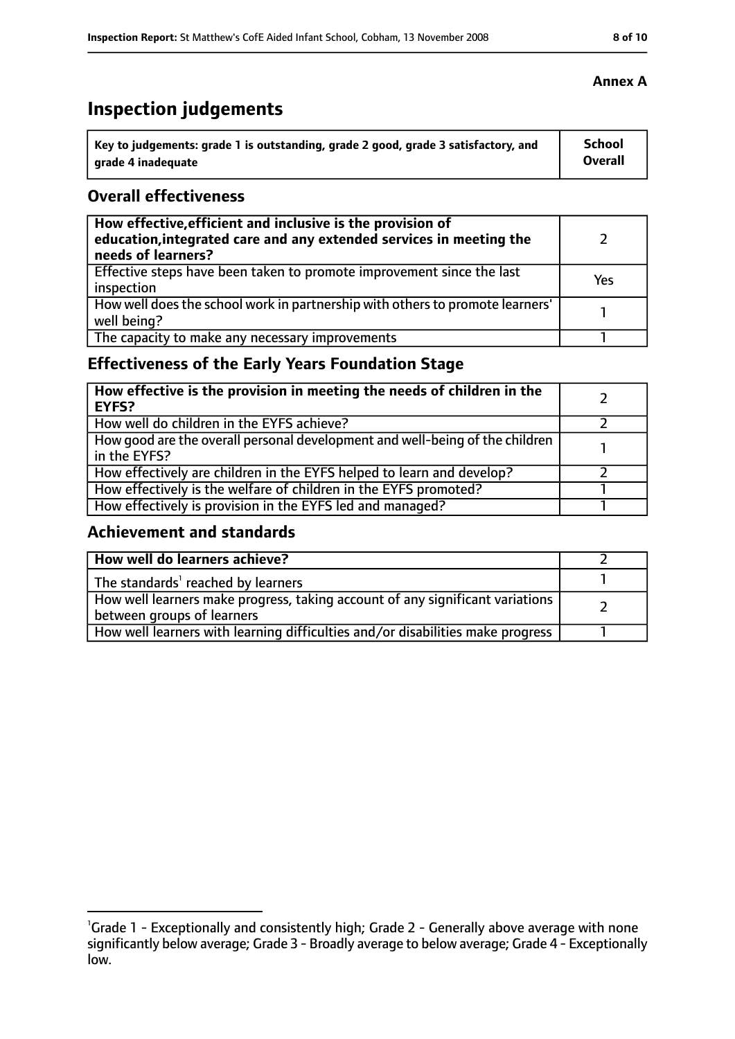# **Inspection judgements**

| Key to judgements: grade 1 is outstanding, grade 2 good, grade 3 satisfactory, and | <b>School</b>  |
|------------------------------------------------------------------------------------|----------------|
| arade 4 inadequate                                                                 | <b>Overall</b> |

#### **Overall effectiveness**

| How effective, efficient and inclusive is the provision of<br>education, integrated care and any extended services in meeting the<br>needs of learners? |     |
|---------------------------------------------------------------------------------------------------------------------------------------------------------|-----|
| Effective steps have been taken to promote improvement since the last<br>inspection                                                                     | Yes |
| How well does the school work in partnership with others to promote learners'<br>well being?                                                            |     |
| The capacity to make any necessary improvements                                                                                                         |     |

## **Effectiveness of the Early Years Foundation Stage**

| How effective is the provision in meeting the needs of children in the<br><b>EYFS?</b>       |  |
|----------------------------------------------------------------------------------------------|--|
| How well do children in the EYFS achieve?                                                    |  |
| How good are the overall personal development and well-being of the children<br>in the EYFS? |  |
| How effectively are children in the EYFS helped to learn and develop?                        |  |
| How effectively is the welfare of children in the EYFS promoted?                             |  |
| How effectively is provision in the EYFS led and managed?                                    |  |

#### **Achievement and standards**

| How well do learners achieve?                                                  |  |
|--------------------------------------------------------------------------------|--|
| The standards <sup>1</sup> reached by learners                                 |  |
| How well learners make progress, taking account of any significant variations  |  |
| between groups of learners                                                     |  |
| How well learners with learning difficulties and/or disabilities make progress |  |

#### **Annex A**

<sup>&</sup>lt;sup>1</sup>Grade 1 - Exceptionally and consistently high; Grade 2 - Generally above average with none

significantly below average; Grade 3 - Broadly average to below average; Grade 4 - Exceptionally low.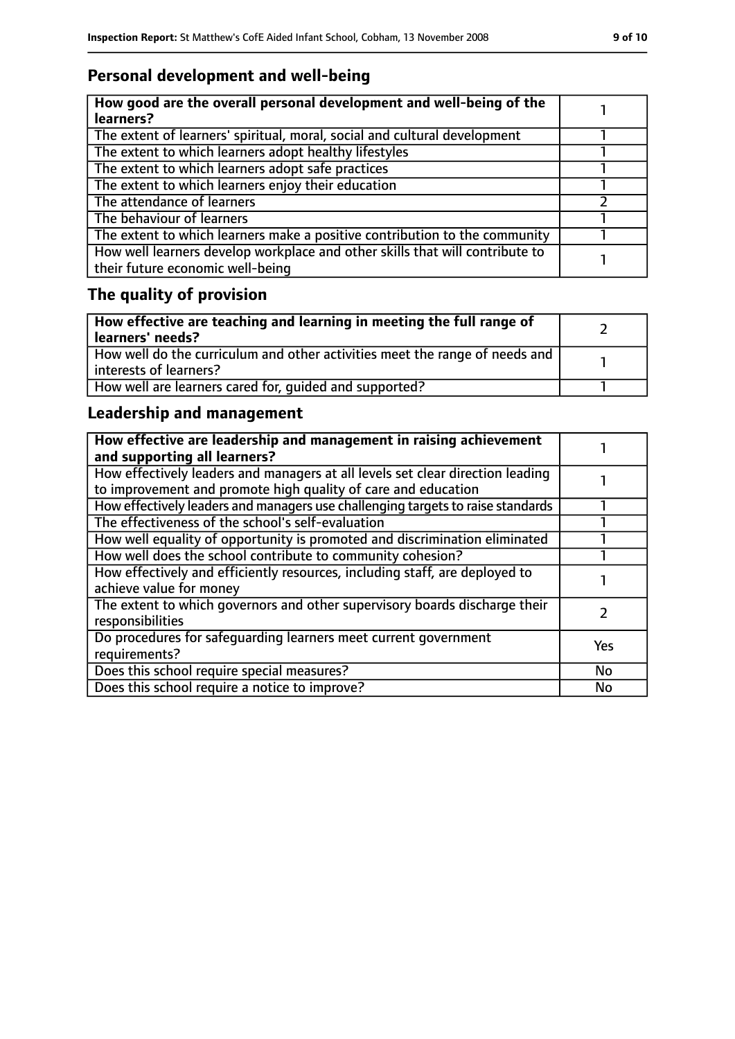## **Personal development and well-being**

| How good are the overall personal development and well-being of the<br>learners?                                 |  |
|------------------------------------------------------------------------------------------------------------------|--|
| The extent of learners' spiritual, moral, social and cultural development                                        |  |
| The extent to which learners adopt healthy lifestyles                                                            |  |
| The extent to which learners adopt safe practices                                                                |  |
| The extent to which learners enjoy their education                                                               |  |
| The attendance of learners                                                                                       |  |
| The behaviour of learners                                                                                        |  |
| The extent to which learners make a positive contribution to the community                                       |  |
| How well learners develop workplace and other skills that will contribute to<br>their future economic well-being |  |

## **The quality of provision**

| How effective are teaching and learning in meeting the full range of<br>learners' needs?              |  |
|-------------------------------------------------------------------------------------------------------|--|
| How well do the curriculum and other activities meet the range of needs and<br>interests of learners? |  |
| How well are learners cared for, quided and supported?                                                |  |

## **Leadership and management**

| How effective are leadership and management in raising achievement<br>and supporting all learners?                                              |            |
|-------------------------------------------------------------------------------------------------------------------------------------------------|------------|
| How effectively leaders and managers at all levels set clear direction leading<br>to improvement and promote high quality of care and education |            |
| How effectively leaders and managers use challenging targets to raise standards                                                                 |            |
| The effectiveness of the school's self-evaluation                                                                                               |            |
| How well equality of opportunity is promoted and discrimination eliminated                                                                      |            |
| How well does the school contribute to community cohesion?                                                                                      |            |
| How effectively and efficiently resources, including staff, are deployed to<br>achieve value for money                                          |            |
| The extent to which governors and other supervisory boards discharge their<br>responsibilities                                                  |            |
| Do procedures for safequarding learners meet current government<br>requirements?                                                                | <b>Yes</b> |
| Does this school require special measures?                                                                                                      | <b>No</b>  |
| Does this school require a notice to improve?                                                                                                   | No         |